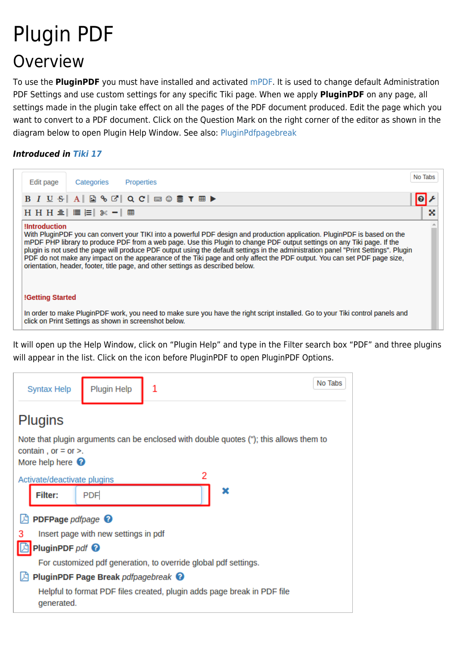# Plugin PDF Overview

To use the **PluginPDF** you must have installed and activated [mPDF](https://doc.tiki.org/mPDF). It is used to change default Administration PDF Settings and use custom settings for any specific Tiki page. When we apply **PluginPDF** on any page, all settings made in the plugin take effect on all the pages of the PDF document produced. Edit the page which you want to convert to a PDF document. Click on the Question Mark on the right corner of the editor as shown in the diagram below to open Plugin Help Window. See also: [PluginPdfpagebreak](https://doc.tiki.org/PluginPDFPageBreak)

### *Introduced in [Tiki 17](https://doc.tiki.org/Tiki17)*

| Categories<br>Edit page<br>Properties                                                                                                                                                                                                                                                                                                                                                                                                                                                                                                                                                                                             | No Tabs |  |
|-----------------------------------------------------------------------------------------------------------------------------------------------------------------------------------------------------------------------------------------------------------------------------------------------------------------------------------------------------------------------------------------------------------------------------------------------------------------------------------------------------------------------------------------------------------------------------------------------------------------------------------|---------|--|
| $B I U S A B S C C C C C C C C C C C$                                                                                                                                                                                                                                                                                                                                                                                                                                                                                                                                                                                             |         |  |
| H H H ≡   ≡ }=  ※ -  ⊞                                                                                                                                                                                                                                                                                                                                                                                                                                                                                                                                                                                                            | X       |  |
| <b>Introduction</b><br>With PluginPDF you can convert your TIKI into a powerful PDF design and production application. PluginPDF is based on the<br>mPDF PHP library to produce PDF from a web page. Use this Plugin to change PDF output settings on any Tiki page. If the<br>plugin is not used the page will produce PDF output using the default settings in the administration panel "Print Settings". Plugin<br>PDF do not make any impact on the appearance of the Tiki page and only affect the PDF output. You can set PDF page size,<br>orientation, header, footer, title page, and other settings as described below. |         |  |
| <b>!Getting Started</b>                                                                                                                                                                                                                                                                                                                                                                                                                                                                                                                                                                                                           |         |  |
| In order to make PluginPDF work, you need to make sure you have the right script installed. Go to your Tiki control panels and<br>click on Print Settings as shown in screenshot below.                                                                                                                                                                                                                                                                                                                                                                                                                                           |         |  |

It will open up the Help Window, click on "Plugin Help" and type in the Filter search box "PDF" and three plugins will appear in the list. Click on the icon before PluginPDF to open PluginPDF Options.

| Plugin Help<br>1<br><b>Syntax Help</b>                                                                                                          | No Tabs |  |
|-------------------------------------------------------------------------------------------------------------------------------------------------|---------|--|
| <b>Plugins</b>                                                                                                                                  |         |  |
| Note that plugin arguments can be enclosed with double quotes ("); this allows them to<br>contain, or $=$ or $>$ .<br>More help here $\bigcirc$ |         |  |
| Activate/deactivate plugins                                                                                                                     |         |  |
| <b>PDF</b><br>Filter:                                                                                                                           | ×       |  |
| PDFPage pdfpage <sup>0</sup>                                                                                                                    |         |  |
| Insert page with new settings in pdf<br>з                                                                                                       |         |  |
| PluginPDF $pdf$ $\odot$                                                                                                                         |         |  |
| For customized pdf generation, to override global pdf settings.                                                                                 |         |  |
| <b>PluginPDF Page Break pdfpagebreak ©</b>                                                                                                      |         |  |
| Helpful to format PDF files created, plugin adds page break in PDF file<br>generated.                                                           |         |  |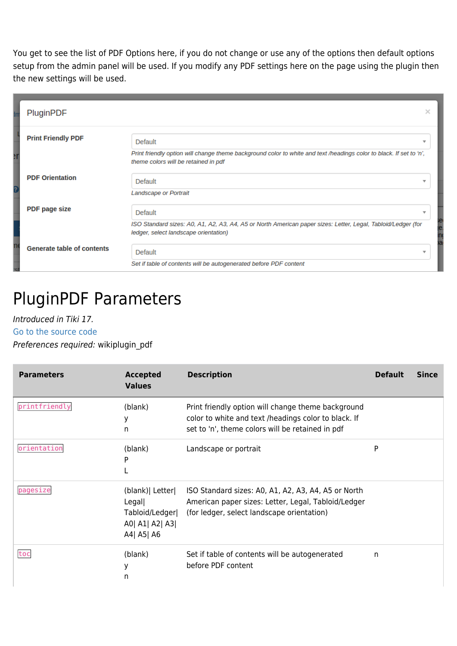You get to see the list of PDF Options here, if you do not change or use any of the options then default options setup from the admin panel will be used. If you modify any PDF settings here on the page using the plugin then the new settings will be used.

| PluginPDF                         |                                                                                                                                                             | × |
|-----------------------------------|-------------------------------------------------------------------------------------------------------------------------------------------------------------|---|
| <b>Print Friendly PDF</b>         | Default                                                                                                                                                     | v |
|                                   | Print friendly option will change theme background color to white and text /headings color to black. If set to 'n',<br>theme colors will be retained in pdf |   |
| <b>PDF Orientation</b>            | Default<br><b>Landscape or Portrait</b>                                                                                                                     | ÷ |
| <b>PDF</b> page size              | Default                                                                                                                                                     | ₩ |
|                                   | ISO Standard sizes: A0, A1, A2, A3, A4, A5 or North American paper sizes: Letter, Legal, Tabloid/Ledger (for<br>ledger, select landscape orientation)       |   |
| <b>Generate table of contents</b> | Default                                                                                                                                                     |   |
|                                   | Set if table of contents will be autogenerated before PDF content                                                                                           |   |

## PluginPDF Parameters

### Introduced in Tiki 17.

#### [Go to the source code](https://gitlab.com/tikiwiki/tiki/-/blob/master/lib/wiki-plugins/wikiplugin_pdf.php)

Preferences required: wikiplugin\_pdf

| <b>Parameters</b> | <b>Accepted</b><br><b>Values</b>                                             | <b>Description</b>                                                                                                                                             | <b>Default</b> | <b>Since</b> |
|-------------------|------------------------------------------------------------------------------|----------------------------------------------------------------------------------------------------------------------------------------------------------------|----------------|--------------|
| printfriendly     | (blank)<br>у<br>n                                                            | Print friendly option will change theme background<br>color to white and text /headings color to black. If<br>set to 'n', theme colors will be retained in pdf |                |              |
| orientation       | (blank)<br>P                                                                 | Landscape or portrait                                                                                                                                          | P              |              |
| pagesize          | (blank)   Letter<br>Legal<br>Tabloid/Ledger<br>A0  A1  A2  A3 <br>A4  A5  A6 | ISO Standard sizes: A0, A1, A2, A3, A4, A5 or North<br>American paper sizes: Letter, Legal, Tabloid/Ledger<br>(for ledger, select landscape orientation)       |                |              |
| toc               | (blank)<br>у<br>n                                                            | Set if table of contents will be autogenerated<br>before PDF content                                                                                           | n              |              |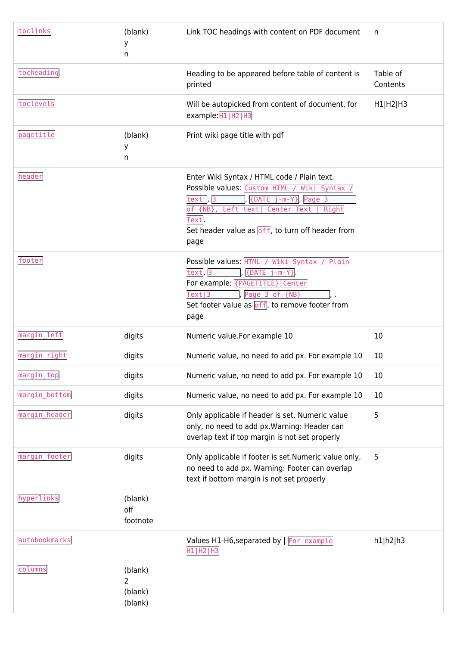| toclinks      | (blank)<br>у<br>n                               | Link TOC headings with content on PDF document                                                                                                                                                                                                                | n                    |
|---------------|-------------------------------------------------|---------------------------------------------------------------------------------------------------------------------------------------------------------------------------------------------------------------------------------------------------------------|----------------------|
| tocheading    |                                                 | Heading to be appeared before table of content is<br>printed                                                                                                                                                                                                  | Table of<br>Contents |
| toclevels     |                                                 | Will be autopicked from content of document, for<br>example: H1   H2   H3                                                                                                                                                                                     | H1 H2 H3             |
| pagetitle     | (blank)<br>У<br>n                               | Print wiki page title with pdf                                                                                                                                                                                                                                |                      |
| header        |                                                 | Enter Wiki Syntax / HTML code / Plain text.<br>Possible values: Custom HTML / Wiki Syntax<br>{DATE j-m-Y}, Page 3<br>text, $3$<br>of {NB}, Left text  Center Text<br>Right<br>Text.<br>Set header value as $\overline{off}$ , to turn off header from<br>page |                      |
| footer        |                                                 | Possible values: HTML / Wiki Syntax / Plain<br>text <sub>3</sub><br>$\{DATE \ j-m-Y\}$<br>For example: {PAGETITLE}   Center<br>Text 3<br>Page 3 of {NB}<br>Set footer value as $off$ , to remove footer from<br>page                                          |                      |
| margin_left   | digits                                          | Numeric value.For example 10                                                                                                                                                                                                                                  | 10                   |
| margin_right  | digits                                          | Numeric value, no need to add px. For example 10                                                                                                                                                                                                              | 10                   |
| margin_top    | digits                                          | Numeric value, no need to add px. For example 10                                                                                                                                                                                                              | 10                   |
| margin_bottom | digits                                          | Numeric value, no need to add px. For example 10                                                                                                                                                                                                              | 10                   |
| margin_header | digits                                          | Only applicable if header is set. Numeric value<br>only, no need to add px. Warning: Header can<br>overlap text if top margin is not set properly                                                                                                             | 5                    |
| margin_footer | digits                                          | Only applicable if footer is set. Numeric value only,<br>no need to add px. Warning: Footer can overlap<br>text if bottom margin is not set properly                                                                                                          | 5                    |
| hyperlinks    | (blank)<br>off<br>footnote                      |                                                                                                                                                                                                                                                               |                      |
| autobookmarks |                                                 | Values H1-H6, separated by   For example<br>H1 H2 H3                                                                                                                                                                                                          | h1 h2 h3             |
| columns       | (blank)<br>$\overline{2}$<br>(blank)<br>(blank) |                                                                                                                                                                                                                                                               |                      |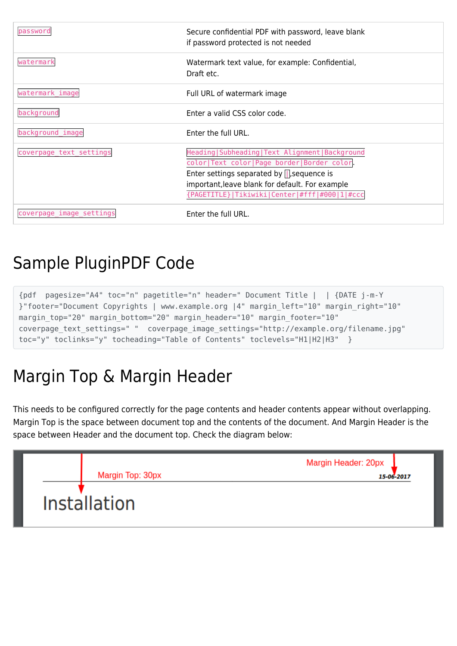| password                 | Secure confidential PDF with password, leave blank<br>if password protected is not needed                                                                                                                                                               |
|--------------------------|---------------------------------------------------------------------------------------------------------------------------------------------------------------------------------------------------------------------------------------------------------|
| watermark                | Watermark text value, for example: Confidential,<br>Draft etc.                                                                                                                                                                                          |
| watermark_image          | Full URL of watermark image                                                                                                                                                                                                                             |
| background               | Enter a valid CSS color code.                                                                                                                                                                                                                           |
| background_image         | Enter the full URL.                                                                                                                                                                                                                                     |
| coverpage_text_settings  | Heading   Subheading   Text Alignment   Background<br>color Text color Page border Border color.<br>Enter settings separated by $\Box$ , sequence is<br>important, leave blank for default. For example<br>{PAGETITLE} Tikiwiki Center #fff #000 1 #ccc |
| coverpage_image_settings | Enter the full URL.                                                                                                                                                                                                                                     |

### Sample PluginPDF Code

{pdf pagesize="A4" toc="n" pagetitle="n" header=" Document Title | | {DATE j-m-Y }"footer="Document Copyrights | www.example.org |4" margin\_left="10" margin\_right="10" margin top="20" margin bottom="20" margin header="10" margin footer="10" coverpage text settings=" " coverpage image settings="http://example.org/filename.jpg" toc="y" toclinks="y" tocheading="Table of Contents" toclevels="H1|H2|H3" }

# Margin Top & Margin Header

This needs to be configured correctly for the page contents and header contents appear without overlapping. Margin Top is the space between document top and the contents of the document. And Margin Header is the space between Header and the document top. Check the diagram below:

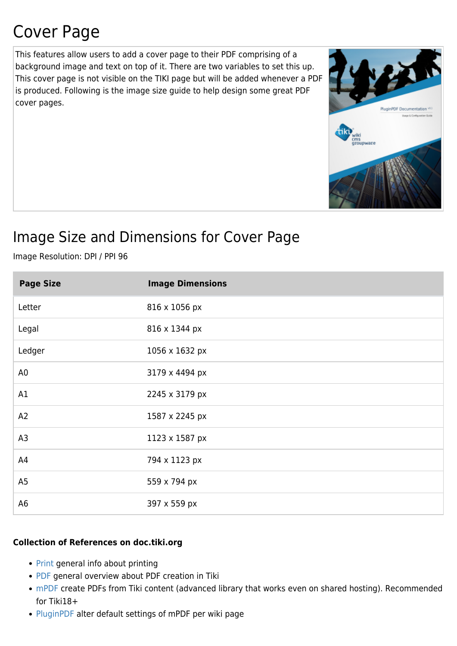# Cover Page

This features allow users to add a cover page to their PDF comprising of a background image and text on top of it. There are two variables to set this up. This cover page is not visible on the TIKI page but will be added whenever a PDF is produced. Following is the image size guide to help design some great PDF cover pages.



### Image Size and Dimensions for Cover Page

Image Resolution: DPI / PPI 96

| <b>Page Size</b> | <b>Image Dimensions</b> |
|------------------|-------------------------|
| Letter           | 816 x 1056 px           |
| Legal            | 816 x 1344 px           |
| Ledger           | 1056 x 1632 px          |
| A <sub>0</sub>   | 3179 x 4494 px          |
| A1               | 2245 x 3179 px          |
| A2               | 1587 x 2245 px          |
| A <sub>3</sub>   | 1123 x 1587 px          |
| A4               | 794 x 1123 px           |
| A <sub>5</sub>   | 559 x 794 px            |
| A <sub>6</sub>   | 397 x 559 px            |

### **Collection of References on doc.tiki.org**

- [Print](https://doc.tiki.org/Print) general info about printing
- [PDF](https://doc.tiki.org/PDF) general overview about PDF creation in Tiki
- [mPDF](https://doc.tiki.org/mPDF) create PDFs from Tiki content (advanced library that works even on shared hosting). Recommended for Tiki18+
- [PluginPDF](https://doc.tiki.org/PluginPDF) alter default settings of mPDF per wiki page